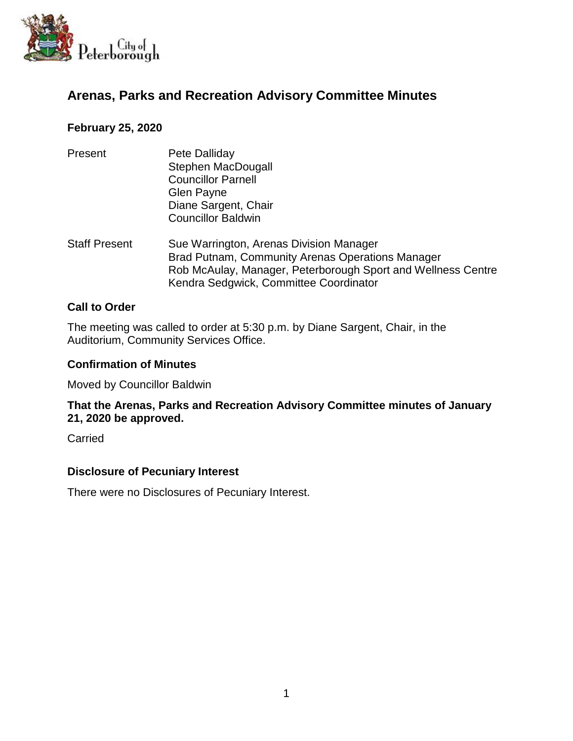

# **Arenas, Parks and Recreation Advisory Committee Minutes**

# **February 25, 2020**

| Present              | Pete Dalliday<br><b>Stephen MacDougall</b><br><b>Councillor Parnell</b><br>Glen Payne<br>Diane Sargent, Chair<br><b>Councillor Baldwin</b>                                                            |
|----------------------|-------------------------------------------------------------------------------------------------------------------------------------------------------------------------------------------------------|
| <b>Staff Present</b> | Sue Warrington, Arenas Division Manager<br>Brad Putnam, Community Arenas Operations Manager<br>Rob McAulay, Manager, Peterborough Sport and Wellness Centre<br>Kendra Sedgwick, Committee Coordinator |

# **Call to Order**

The meeting was called to order at 5:30 p.m. by Diane Sargent, Chair, in the Auditorium, Community Services Office.

#### **Confirmation of Minutes**

Moved by Councillor Baldwin

**That the Arenas, Parks and Recreation Advisory Committee minutes of January 21, 2020 be approved.**

**Carried** 

#### **Disclosure of Pecuniary Interest**

There were no Disclosures of Pecuniary Interest.